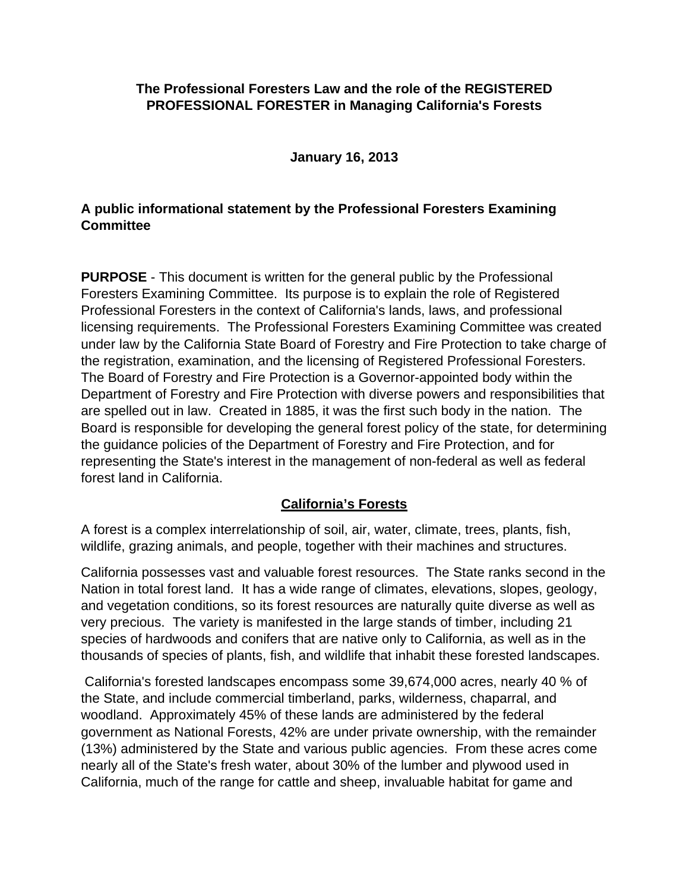### **The Professional Foresters Law and the role of the REGISTERED PROFESSIONAL FORESTER in Managing California's Forests**

#### **January 16, 2013**

## **A public informational statement by the Professional Foresters Examining Committee**

**PURPOSE** - This document is written for the general public by the Professional Foresters Examining Committee. Its purpose is to explain the role of Registered Professional Foresters in the context of California's lands, laws, and professional licensing requirements. The Professional Foresters Examining Committee was created under law by the California State Board of Forestry and Fire Protection to take charge of the registration, examination, and the licensing of Registered Professional Foresters. The Board of Forestry and Fire Protection is a Governor-appointed body within the Department of Forestry and Fire Protection with diverse powers and responsibilities that are spelled out in law. Created in 1885, it was the first such body in the nation. The Board is responsible for developing the general forest policy of the state, for determining the guidance policies of the Department of Forestry and Fire Protection, and for representing the State's interest in the management of non-federal as well as federal forest land in California.

## **California's Forests**

A forest is a complex interrelationship of soil, air, water, climate, trees, plants, fish, wildlife, grazing animals, and people, together with their machines and structures.

California possesses vast and valuable forest resources. The State ranks second in the Nation in total forest land. It has a wide range of climates, elevations, slopes, geology, and vegetation conditions, so its forest resources are naturally quite diverse as well as very precious. The variety is manifested in the large stands of timber, including 21 species of hardwoods and conifers that are native only to California, as well as in the thousands of species of plants, fish, and wildlife that inhabit these forested landscapes.

California's forested landscapes encompass some 39,674,000 acres, nearly 40 % of the State, and include commercial timberland, parks, wilderness, chaparral, and woodland. Approximately 45% of these lands are administered by the federal government as National Forests, 42% are under private ownership, with the remainder (13%) administered by the State and various public agencies. From these acres come nearly all of the State's fresh water, about 30% of the lumber and plywood used in California, much of the range for cattle and sheep, invaluable habitat for game and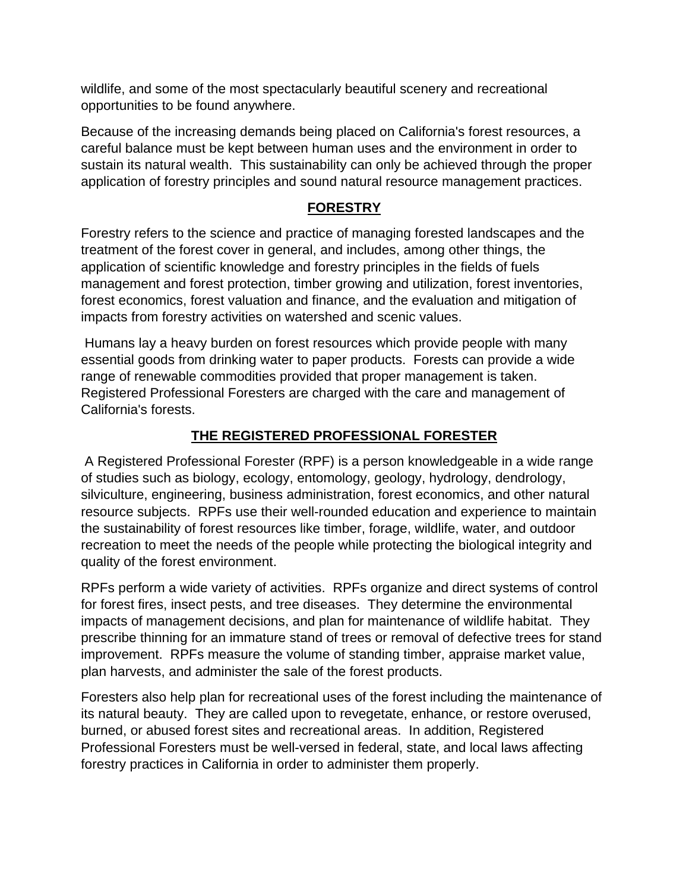wildlife, and some of the most spectacularly beautiful scenery and recreational opportunities to be found anywhere.

Because of the increasing demands being placed on California's forest resources, a careful balance must be kept between human uses and the environment in order to sustain its natural wealth. This sustainability can only be achieved through the proper application of forestry principles and sound natural resource management practices.

# **FORESTRY**

Forestry refers to the science and practice of managing forested landscapes and the treatment of the forest cover in general, and includes, among other things, the application of scientific knowledge and forestry principles in the fields of fuels management and forest protection, timber growing and utilization, forest inventories, forest economics, forest valuation and finance, and the evaluation and mitigation of impacts from forestry activities on watershed and scenic values.

Humans lay a heavy burden on forest resources which provide people with many essential goods from drinking water to paper products. Forests can provide a wide range of renewable commodities provided that proper management is taken. Registered Professional Foresters are charged with the care and management of California's forests.

# **THE REGISTERED PROFESSIONAL FORESTER**

A Registered Professional Forester (RPF) is a person knowledgeable in a wide range of studies such as biology, ecology, entomology, geology, hydrology, dendrology, silviculture, engineering, business administration, forest economics, and other natural resource subjects. RPFs use their well-rounded education and experience to maintain the sustainability of forest resources like timber, forage, wildlife, water, and outdoor recreation to meet the needs of the people while protecting the biological integrity and quality of the forest environment.

RPFs perform a wide variety of activities. RPFs organize and direct systems of control for forest fires, insect pests, and tree diseases. They determine the environmental impacts of management decisions, and plan for maintenance of wildlife habitat. They prescribe thinning for an immature stand of trees or removal of defective trees for stand improvement. RPFs measure the volume of standing timber, appraise market value, plan harvests, and administer the sale of the forest products.

Foresters also help plan for recreational uses of the forest including the maintenance of its natural beauty. They are called upon to revegetate, enhance, or restore overused, burned, or abused forest sites and recreational areas. In addition, Registered Professional Foresters must be well-versed in federal, state, and local laws affecting forestry practices in California in order to administer them properly.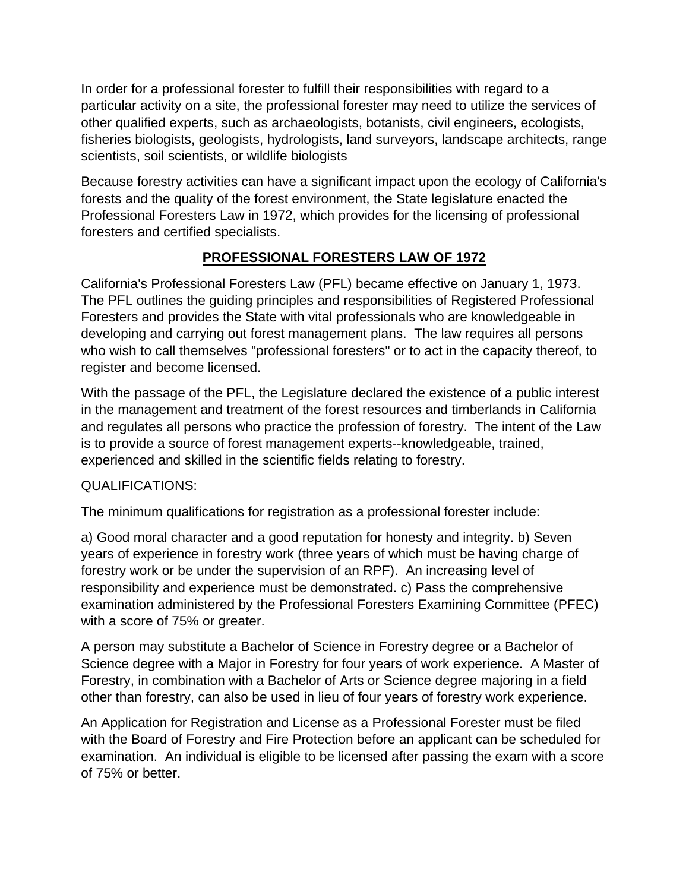In order for a professional forester to fulfill their responsibilities with regard to a particular activity on a site, the professional forester may need to utilize the services of other qualified experts, such as archaeologists, botanists, civil engineers, ecologists, fisheries biologists, geologists, hydrologists, land surveyors, landscape architects, range scientists, soil scientists, or wildlife biologists

Because forestry activities can have a significant impact upon the ecology of California's forests and the quality of the forest environment, the State legislature enacted the Professional Foresters Law in 1972, which provides for the licensing of professional foresters and certified specialists.

# **PROFESSIONAL FORESTERS LAW OF 1972**

California's Professional Foresters Law (PFL) became effective on January 1, 1973. The PFL outlines the guiding principles and responsibilities of Registered Professional Foresters and provides the State with vital professionals who are knowledgeable in developing and carrying out forest management plans. The law requires all persons who wish to call themselves "professional foresters" or to act in the capacity thereof, to register and become licensed.

With the passage of the PFL, the Legislature declared the existence of a public interest in the management and treatment of the forest resources and timberlands in California and regulates all persons who practice the profession of forestry. The intent of the Law is to provide a source of forest management experts--knowledgeable, trained, experienced and skilled in the scientific fields relating to forestry.

## QUALIFICATIONS:

The minimum qualifications for registration as a professional forester include:

a) Good moral character and a good reputation for honesty and integrity. b) Seven years of experience in forestry work (three years of which must be having charge of forestry work or be under the supervision of an RPF). An increasing level of responsibility and experience must be demonstrated. c) Pass the comprehensive examination administered by the Professional Foresters Examining Committee (PFEC) with a score of 75% or greater.

A person may substitute a Bachelor of Science in Forestry degree or a Bachelor of Science degree with a Major in Forestry for four years of work experience. A Master of Forestry, in combination with a Bachelor of Arts or Science degree majoring in a field other than forestry, can also be used in lieu of four years of forestry work experience.

An Application for Registration and License as a Professional Forester must be filed with the Board of Forestry and Fire Protection before an applicant can be scheduled for examination. An individual is eligible to be licensed after passing the exam with a score of 75% or better.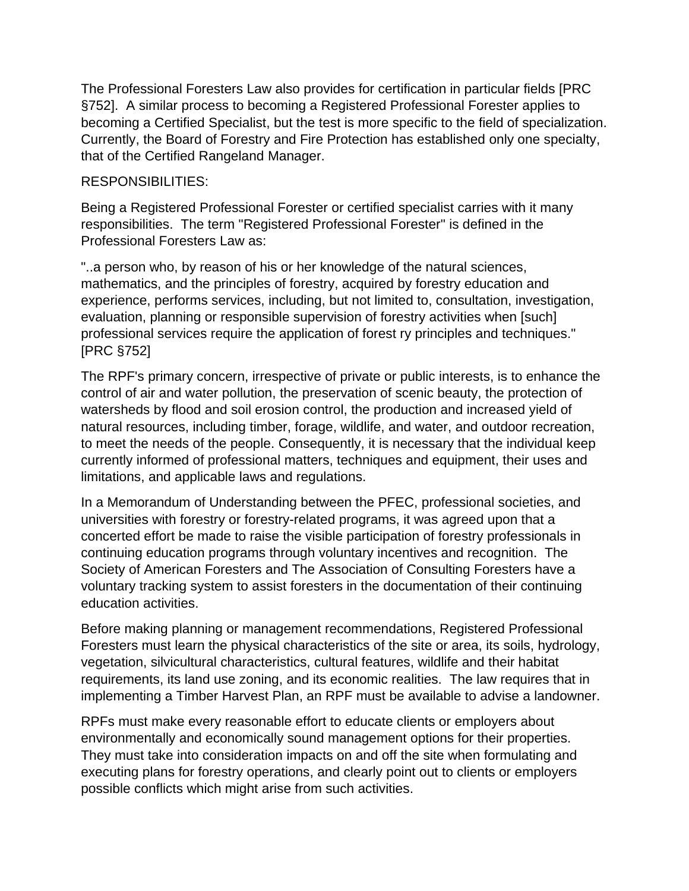The Professional Foresters Law also provides for certification in particular fields [PRC §752]. A similar process to becoming a Registered Professional Forester applies to becoming a Certified Specialist, but the test is more specific to the field of specialization. Currently, the Board of Forestry and Fire Protection has established only one specialty, that of the Certified Rangeland Manager.

#### RESPONSIBILITIES:

Being a Registered Professional Forester or certified specialist carries with it many responsibilities. The term "Registered Professional Forester" is defined in the Professional Foresters Law as:

"..a person who, by reason of his or her knowledge of the natural sciences, mathematics, and the principles of forestry, acquired by forestry education and experience, performs services, including, but not limited to, consultation, investigation, evaluation, planning or responsible supervision of forestry activities when [such] professional services require the application of forest ry principles and techniques." [PRC §752]

The RPF's primary concern, irrespective of private or public interests, is to enhance the control of air and water pollution, the preservation of scenic beauty, the protection of watersheds by flood and soil erosion control, the production and increased yield of natural resources, including timber, forage, wildlife, and water, and outdoor recreation, to meet the needs of the people. Consequently, it is necessary that the individual keep currently informed of professional matters, techniques and equipment, their uses and limitations, and applicable laws and regulations.

In a Memorandum of Understanding between the PFEC, professional societies, and universities with forestry or forestry-related programs, it was agreed upon that a concerted effort be made to raise the visible participation of forestry professionals in continuing education programs through voluntary incentives and recognition. The Society of American Foresters and The Association of Consulting Foresters have a voluntary tracking system to assist foresters in the documentation of their continuing education activities.

Before making planning or management recommendations, Registered Professional Foresters must learn the physical characteristics of the site or area, its soils, hydrology, vegetation, silvicultural characteristics, cultural features, wildlife and their habitat requirements, its land use zoning, and its economic realities. The law requires that in implementing a Timber Harvest Plan, an RPF must be available to advise a landowner.

RPFs must make every reasonable effort to educate clients or employers about environmentally and economically sound management options for their properties. They must take into consideration impacts on and off the site when formulating and executing plans for forestry operations, and clearly point out to clients or employers possible conflicts which might arise from such activities.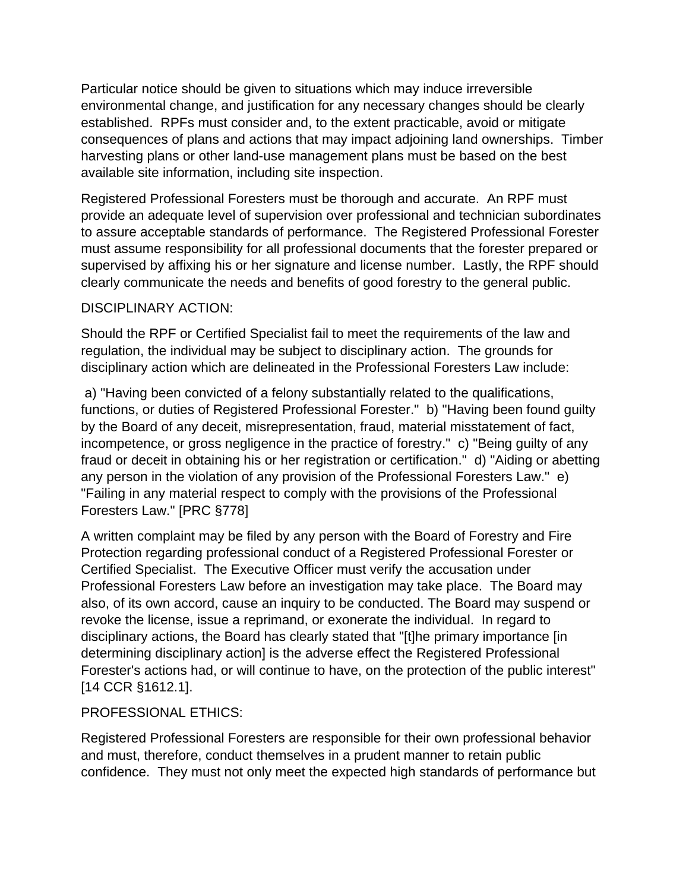Particular notice should be given to situations which may induce irreversible environmental change, and justification for any necessary changes should be clearly established. RPFs must consider and, to the extent practicable, avoid or mitigate consequences of plans and actions that may impact adjoining land ownerships. Timber harvesting plans or other land-use management plans must be based on the best available site information, including site inspection.

Registered Professional Foresters must be thorough and accurate. An RPF must provide an adequate level of supervision over professional and technician subordinates to assure acceptable standards of performance. The Registered Professional Forester must assume responsibility for all professional documents that the forester prepared or supervised by affixing his or her signature and license number. Lastly, the RPF should clearly communicate the needs and benefits of good forestry to the general public.

#### DISCIPLINARY ACTION:

Should the RPF or Certified Specialist fail to meet the requirements of the law and regulation, the individual may be subject to disciplinary action. The grounds for disciplinary action which are delineated in the Professional Foresters Law include:

a) "Having been convicted of a felony substantially related to the qualifications, functions, or duties of Registered Professional Forester." b) "Having been found guilty by the Board of any deceit, misrepresentation, fraud, material misstatement of fact, incompetence, or gross negligence in the practice of forestry." c) "Being guilty of any fraud or deceit in obtaining his or her registration or certification." d) "Aiding or abetting any person in the violation of any provision of the Professional Foresters Law." e) "Failing in any material respect to comply with the provisions of the Professional Foresters Law." [PRC §778]

A written complaint may be filed by any person with the Board of Forestry and Fire Protection regarding professional conduct of a Registered Professional Forester or Certified Specialist. The Executive Officer must verify the accusation under Professional Foresters Law before an investigation may take place. The Board may also, of its own accord, cause an inquiry to be conducted. The Board may suspend or revoke the license, issue a reprimand, or exonerate the individual. In regard to disciplinary actions, the Board has clearly stated that "[t]he primary importance [in determining disciplinary action] is the adverse effect the Registered Professional Forester's actions had, or will continue to have, on the protection of the public interest" [14 CCR §1612.1].

## PROFESSIONAL ETHICS:

Registered Professional Foresters are responsible for their own professional behavior and must, therefore, conduct themselves in a prudent manner to retain public confidence. They must not only meet the expected high standards of performance but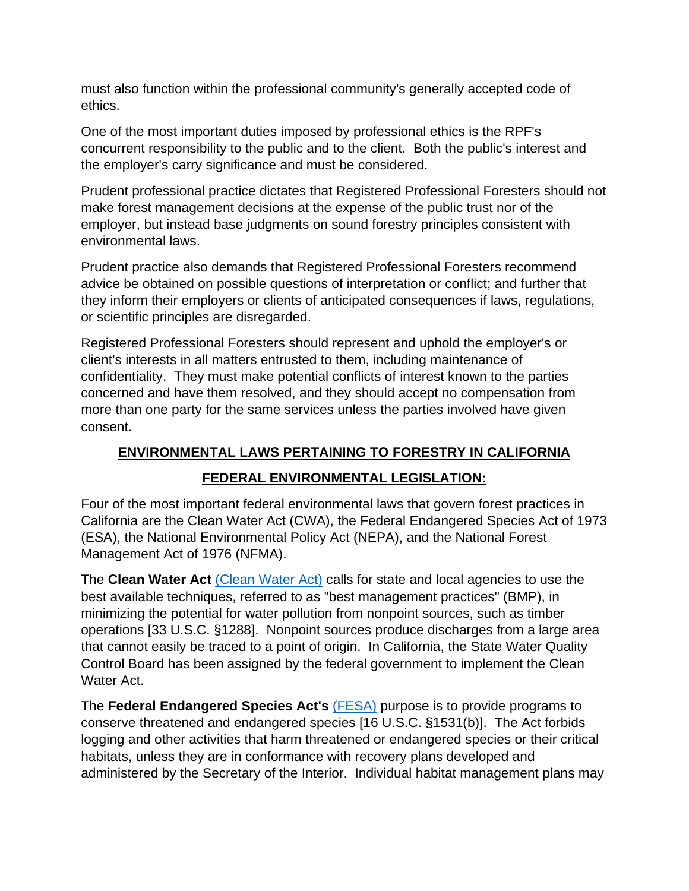must also function within the professional community's generally accepted code of ethics.

One of the most important duties imposed by professional ethics is the RPF's concurrent responsibility to the public and to the client. Both the public's interest and the employer's carry significance and must be considered.

Prudent professional practice dictates that Registered Professional Foresters should not make forest management decisions at the expense of the public trust nor of the employer, but instead base judgments on sound forestry principles consistent with environmental laws.

Prudent practice also demands that Registered Professional Foresters recommend advice be obtained on possible questions of interpretation or conflict; and further that they inform their employers or clients of anticipated consequences if laws, regulations, or scientific principles are disregarded.

Registered Professional Foresters should represent and uphold the employer's or client's interests in all matters entrusted to them, including maintenance of confidentiality. They must make potential conflicts of interest known to the parties concerned and have them resolved, and they should accept no compensation from more than one party for the same services unless the parties involved have given consent.

# **ENVIRONMENTAL LAWS PERTAINING TO FORESTRY IN CALIFORNIA**

# **FEDERAL ENVIRONMENTAL LEGISLATION:**

Four of the most important federal environmental laws that govern forest practices in California are the Clean Water Act (CWA), the Federal Endangered Species Act of 1973 (ESA), the National Environmental Policy Act (NEPA), and the National Forest Management Act of 1976 (NFMA).

The **Clean Water Act** [\(Clean Water Act\)](https://www.epa.gov/laws-regulations/summary-clean-water-act) calls for state and local agencies to use the best available techniques, referred to as "best management practices" (BMP), in minimizing the potential for water pollution from nonpoint sources, such as timber operations [33 U.S.C. §1288]. Nonpoint sources produce discharges from a large area that cannot easily be traced to a point of origin. In California, the State Water Quality Control Board has been assigned by the federal government to implement the Clean Water Act.

The **Federal Endangered Species Act's** [\(FESA\)](https://www.fws.gov/endangered/laws-policies/esa.html) purpose is to provide programs to conserve threatened and endangered species [16 U.S.C. §1531(b)]. The Act forbids logging and other activities that harm threatened or endangered species or their critical habitats, unless they are in conformance with recovery plans developed and administered by the Secretary of the Interior. Individual habitat management plans may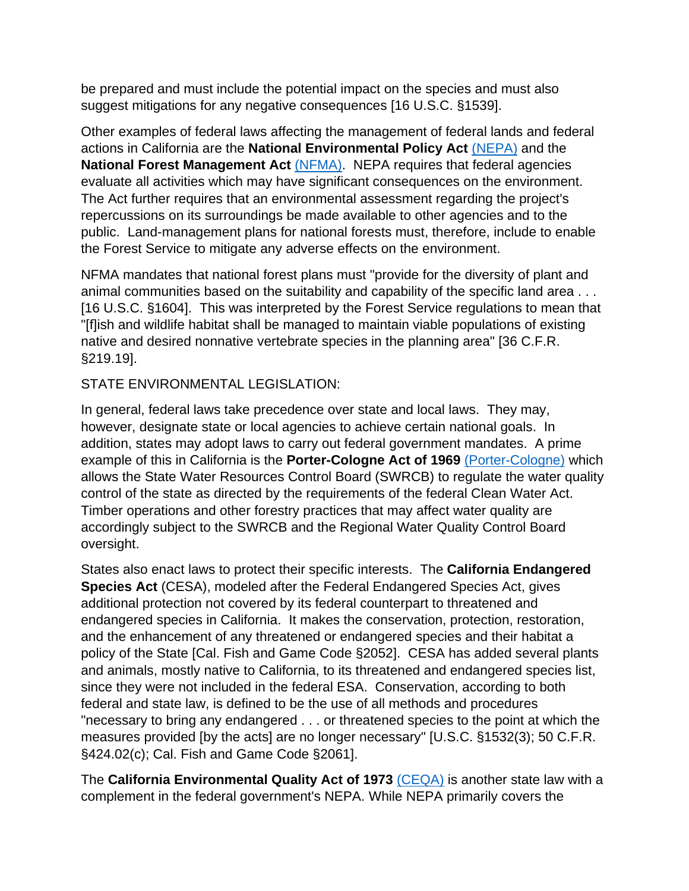be prepared and must include the potential impact on the species and must also suggest mitigations for any negative consequences [16 U.S.C. §1539].

Other examples of federal laws affecting the management of federal lands and federal actions in California are the **National Environmental Policy Act** [\(NEPA\)](https://www.epa.gov/nepa) and the **National Forest Management Act [\(NFMA\).](https://www.fs.fed.us/emc/nfma/includes/NFMA1976.pdf)** NEPA requires that federal agencies evaluate all activities which may have significant consequences on the environment. The Act further requires that an environmental assessment regarding the project's repercussions on its surroundings be made available to other agencies and to the public. Land-management plans for national forests must, therefore, include to enable the Forest Service to mitigate any adverse effects on the environment.

NFMA mandates that national forest plans must "provide for the diversity of plant and animal communities based on the suitability and capability of the specific land area . . . [16 U.S.C. §1604]. This was interpreted by the Forest Service regulations to mean that "[f]ish and wildlife habitat shall be managed to maintain viable populations of existing native and desired nonnative vertebrate species in the planning area" [36 C.F.R. §219.19].

#### STATE ENVIRONMENTAL LEGISLATION:

In general, federal laws take precedence over state and local laws. They may, however, designate state or local agencies to achieve certain national goals. In addition, states may adopt laws to carry out federal government mandates. A prime example of this in California is the **Porter-Cologne Act of 1969** [\(Porter-Cologne\)](https://www.waterboards.ca.gov/laws_regulations/docs/portercologne.pdf) which allows the State Water Resources Control Board (SWRCB) to regulate the water quality control of the state as directed by the requirements of the federal Clean Water Act. Timber operations and other forestry practices that may affect water quality are accordingly subject to the SWRCB and the Regional Water Quality Control Board oversight.

States also enact laws to protect their specific interests. The **California Endangered Species Act** (CESA), modeled after the Federal Endangered Species Act, gives additional protection not covered by its federal counterpart to threatened and endangered species in California. It makes the conservation, protection, restoration, and the enhancement of any threatened or endangered species and their habitat a policy of the State [Cal. Fish and Game Code §2052]. CESA has added several plants and animals, mostly native to California, to its threatened and endangered species list, since they were not included in the federal ESA. Conservation, according to both federal and state law, is defined to be the use of all methods and procedures "necessary to bring any endangered . . . or threatened species to the point at which the measures provided [by the acts] are no longer necessary" [U.S.C. §1532(3); 50 C.F.R. §424.02(c); Cal. Fish and Game Code §2061].

The **California Environmental Quality Act of 1973** [\(CEQA\)](http://resources.ca.gov/ceqa/docs/2019_CEQA_Statutes_and_Guidelines.pdf) is another state law with a complement in the federal government's NEPA. While NEPA primarily covers the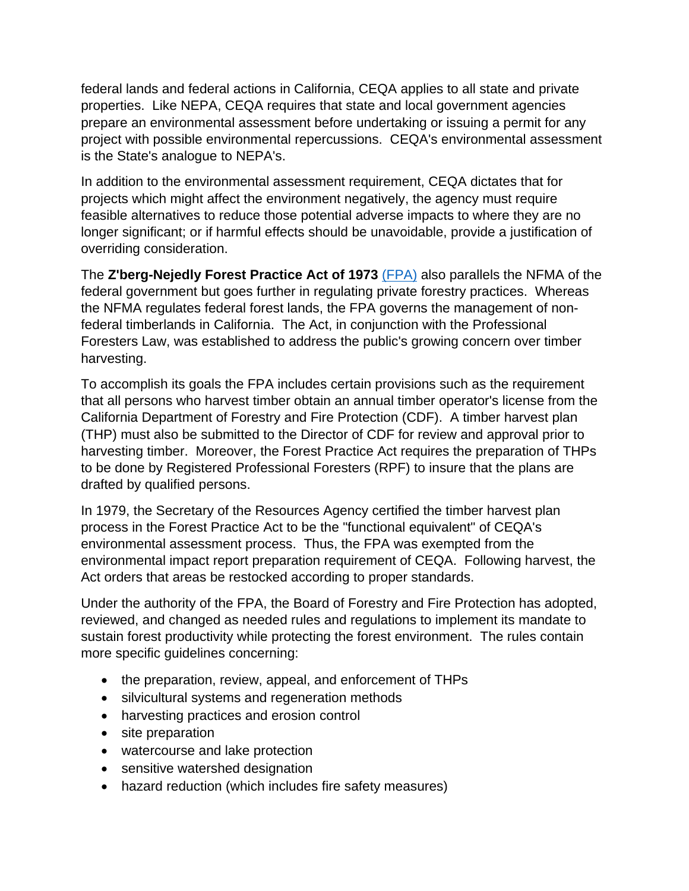federal lands and federal actions in California, CEQA applies to all state and private properties. Like NEPA, CEQA requires that state and local government agencies prepare an environmental assessment before undertaking or issuing a permit for any project with possible environmental repercussions. CEQA's environmental assessment is the State's analogue to NEPA's.

In addition to the environmental assessment requirement, CEQA dictates that for projects which might affect the environment negatively, the agency must require feasible alternatives to reduce those potential adverse impacts to where they are no longer significant; or if harmful effects should be unavoidable, provide a justification of overriding consideration.

The **Z'berg-Nejedly Forest Practice Act of 1973** [\(FPA\)](https://bof.fire.ca.gov/media/6851/2000-fpa.pdf) also parallels the NFMA of the federal government but goes further in regulating private forestry practices. Whereas the NFMA regulates federal forest lands, the FPA governs the management of nonfederal timberlands in California. The Act, in conjunction with the Professional Foresters Law, was established to address the public's growing concern over timber harvesting.

To accomplish its goals the FPA includes certain provisions such as the requirement that all persons who harvest timber obtain an annual timber operator's license from the California Department of Forestry and Fire Protection (CDF). A timber harvest plan (THP) must also be submitted to the Director of CDF for review and approval prior to harvesting timber. Moreover, the Forest Practice Act requires the preparation of THPs to be done by Registered Professional Foresters (RPF) to insure that the plans are drafted by qualified persons.

In 1979, the Secretary of the Resources Agency certified the timber harvest plan process in the Forest Practice Act to be the "functional equivalent" of CEQA's environmental assessment process. Thus, the FPA was exempted from the environmental impact report preparation requirement of CEQA. Following harvest, the Act orders that areas be restocked according to proper standards.

Under the authority of the FPA, the Board of Forestry and Fire Protection has adopted, reviewed, and changed as needed rules and regulations to implement its mandate to sustain forest productivity while protecting the forest environment. The rules contain more specific guidelines concerning:

- the preparation, review, appeal, and enforcement of THPs
- silvicultural systems and regeneration methods
- harvesting practices and erosion control
- site preparation
- watercourse and lake protection
- sensitive watershed designation
- hazard reduction (which includes fire safety measures)